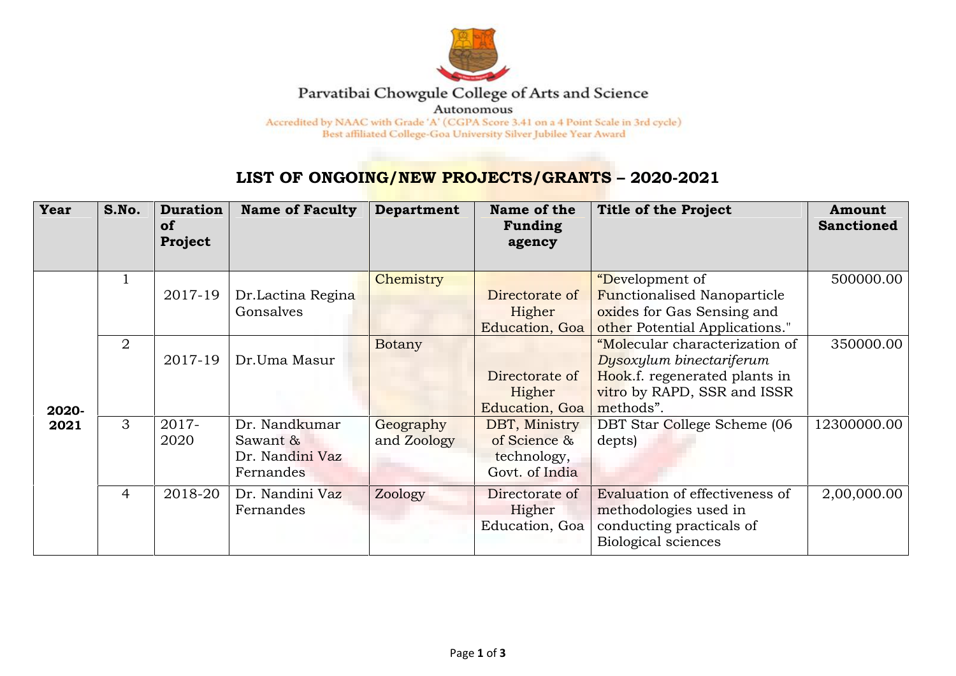

## Parvatibai Chowgule College of Arts and Science

Autonomous

Accredited by NAAC with Grade 'A' (CGPA Score 3.41 on a 4 Point Scale in 3rd cycle) Best affiliated College-Goa University Silver Jubilee Year Award

## **LIST OF ONGOING/NEW PROJECTS/GRANTS – 2020-2021**

| Year          | S.No.          | <b>Duration</b><br><b>of</b><br>Project | <b>Name of Faculty</b>                                    | <b>Department</b>        | Name of the<br><b>Funding</b><br>agency                        | <b>Title of the Project</b>                                                                                                             | Amount<br><b>Sanctioned</b> |
|---------------|----------------|-----------------------------------------|-----------------------------------------------------------|--------------------------|----------------------------------------------------------------|-----------------------------------------------------------------------------------------------------------------------------------------|-----------------------------|
| 2020-<br>2021 | $\mathbf{1}$   | 2017-19                                 | Dr.Lactina Regina<br>Gonsalves                            | Chemistry                | Directorate of<br>Higher<br>Education, Goa                     | <i>"Development of</i><br><b>Functionalised Nanoparticle</b><br>oxides for Gas Sensing and<br>other Potential Applications."            | 500000.00                   |
|               | 2              | 2017-19                                 | Dr.Uma Masur                                              | Botany                   | Directorate of<br>Higher<br>Education, Goa                     | "Molecular characterization of<br>Dysoxylum binectariferum<br>Hook.f. regenerated plants in<br>vitro by RAPD, SSR and ISSR<br>methods". | 350000.00                   |
|               | 3              | 2017-<br>2020                           | Dr. Nandkumar<br>Sawant &<br>Dr. Nandini Vaz<br>Fernandes | Geography<br>and Zoology | DBT, Ministry<br>of Science &<br>technology,<br>Govt. of India | DBT Star College Scheme (06<br>depts)                                                                                                   | 12300000.00                 |
|               | $\overline{4}$ | 2018-20                                 | Dr. Nandini Vaz<br>Fernandes                              | Zoology                  | Directorate of<br>Higher<br>Education, Goa                     | Evaluation of effectiveness of<br>methodologies used in<br>conducting practicals of<br>Biological sciences                              | 2,00,000.00                 |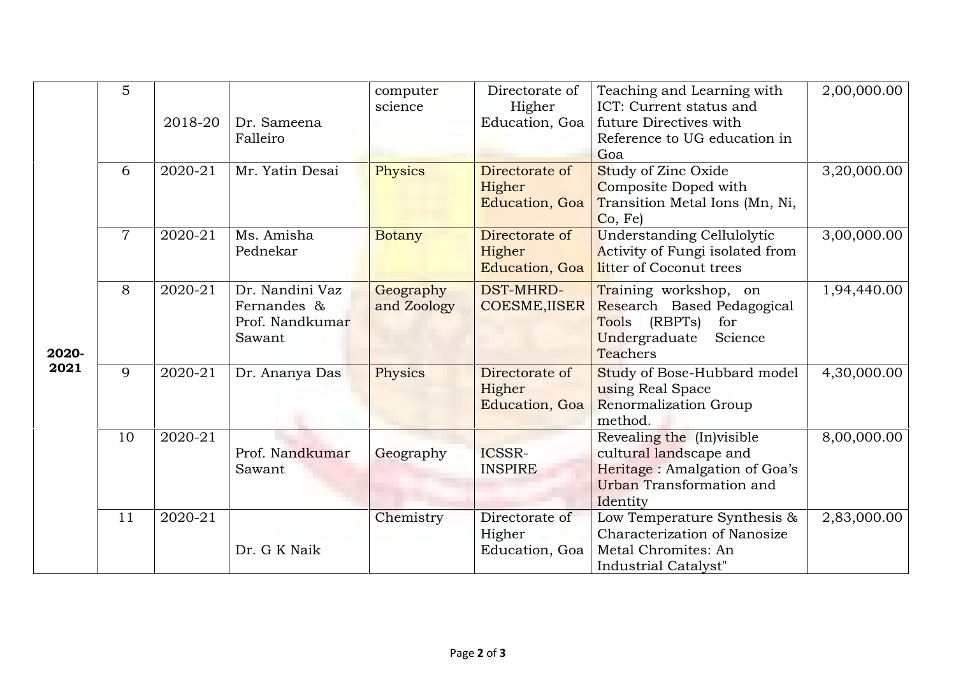|               | 5              | 2018-20 | Dr. Sameena                                                 | computer<br>science      | Directorate of<br>Higher<br>Education, Goa | Teaching and Learning with<br>ICT: Current status and<br>future Directives with                                               | 2,00,000.00 |
|---------------|----------------|---------|-------------------------------------------------------------|--------------------------|--------------------------------------------|-------------------------------------------------------------------------------------------------------------------------------|-------------|
| 2020-<br>2021 |                |         | Falleiro                                                    |                          |                                            | Reference to UG education in<br>Goa                                                                                           |             |
|               | 6              | 2020-21 | Mr. Yatin Desai                                             | Physics                  | Directorate of<br>Higher<br>Education, Goa | Study of Zinc Oxide<br>Composite Doped with<br>Transition Metal Ions (Mn, Ni,<br>Co, Fe)                                      | 3,20,000.00 |
|               | $\overline{7}$ | 2020-21 | Ms. Amisha<br>Pednekar                                      | <b>Botany</b>            | Directorate of<br>Higher<br>Education, Goa | <b>Understanding Cellulolytic</b><br>Activity of Fungi isolated from<br>litter of Coconut trees                               | 3,00,000.00 |
|               | 8              | 2020-21 | Dr. Nandini Vaz<br>Fernandes &<br>Prof. Nandkumar<br>Sawant | Geography<br>and Zoology | <b>DST-MHRD-</b><br><b>COESME, IISER</b>   | Training workshop, on<br>Research Based Pedagogical<br>(RBPTs)<br>Tools<br>for<br>Undergraduate<br>Science<br><b>Teachers</b> | 1,94,440.00 |
|               | 9              | 2020-21 | Dr. Ananya Das                                              | Physics                  | Directorate of<br>Higher<br>Education, Goa | Study of Bose-Hubbard model<br>using Real Space<br>Renormalization Group<br>method.                                           | 4,30,000.00 |
|               | 10             | 2020-21 | Prof. Nandkumar<br>Sawant                                   | Geography                | ICSSR-<br><b>INSPIRE</b>                   | Revealing the (In)visible<br>cultural landscape and<br>Heritage: Amalgation of Goa's<br>Urban Transformation and<br>Identity  | 8,00,000.00 |
|               | 11             | 2020-21 | Dr. G K Naik                                                | Chemistry                | Directorate of<br>Higher<br>Education, Goa | Low Temperature Synthesis &<br>Characterization of Nanosize<br>Metal Chromites: An<br>Industrial Catalyst"                    | 2,83,000.00 |